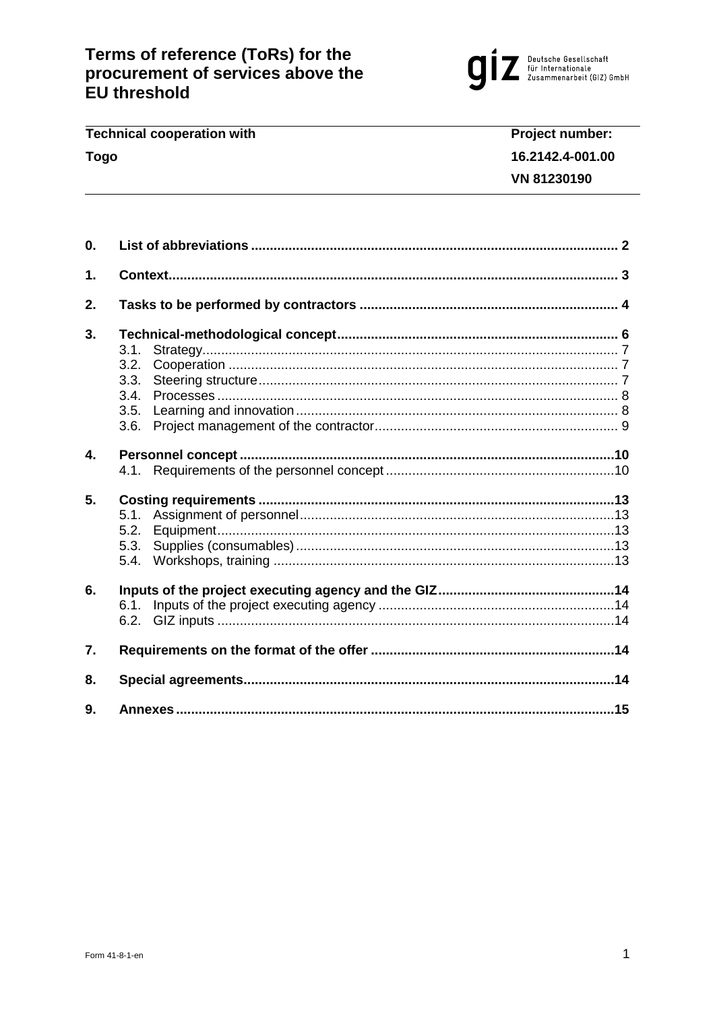

#### **Technical cooperation with** Project number: **Togo** 16.2142.4-001.00 VN 81230190

| 0.               |                                              |  |
|------------------|----------------------------------------------|--|
| 1.               |                                              |  |
| 2.               |                                              |  |
| 3.               | 3.1.<br>3.2.<br>3.3.<br>3.4.<br>3.5.<br>3.6. |  |
| 4.               |                                              |  |
| 5.               | 5.1.<br>5.2.<br>5.3.<br>5.4.                 |  |
| 6.               | 6.1.<br>6.2.                                 |  |
| $\overline{7}$ . |                                              |  |
| 8.               |                                              |  |
| 9.               |                                              |  |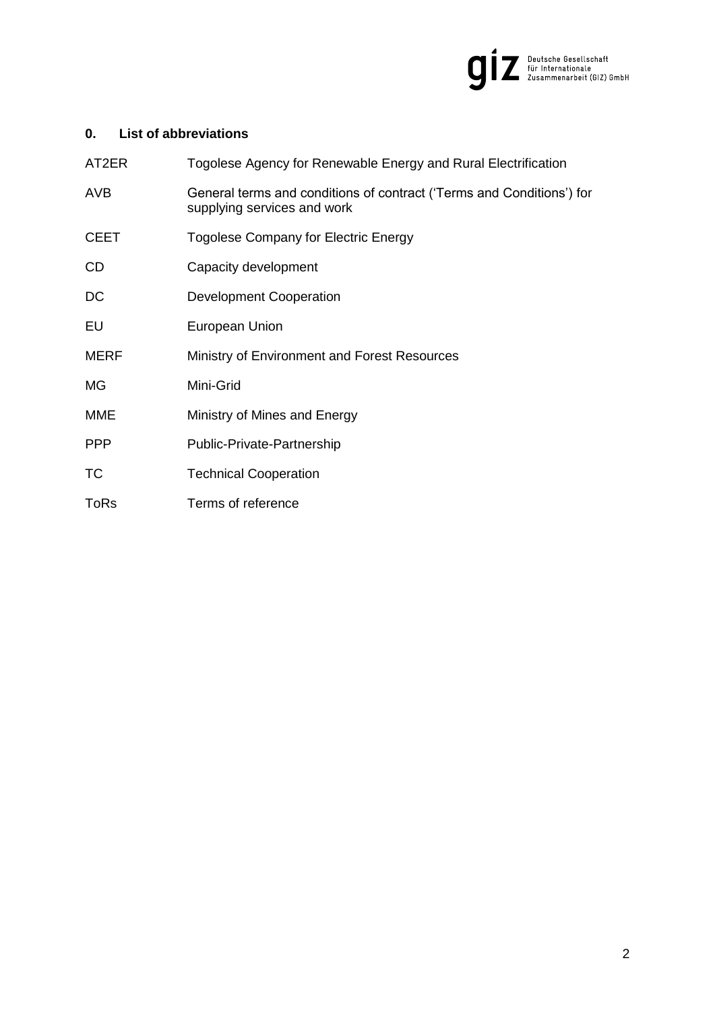

# <span id="page-1-0"></span>**0. List of abbreviations**

| AT2ER       | Togolese Agency for Renewable Energy and Rural Electrification                                       |
|-------------|------------------------------------------------------------------------------------------------------|
| AVB         | General terms and conditions of contract ('Terms and Conditions') for<br>supplying services and work |
| <b>CEET</b> | Togolese Company for Electric Energy                                                                 |
| CD          | Capacity development                                                                                 |
| DC          | Development Cooperation                                                                              |
| EU          | European Union                                                                                       |
| <b>MERF</b> | Ministry of Environment and Forest Resources                                                         |
| <b>MG</b>   | Mini-Grid                                                                                            |
| <b>MME</b>  | Ministry of Mines and Energy                                                                         |
| <b>PPP</b>  | Public-Private-Partnership                                                                           |
| TC          | <b>Technical Cooperation</b>                                                                         |
| <b>ToRs</b> | Terms of reference                                                                                   |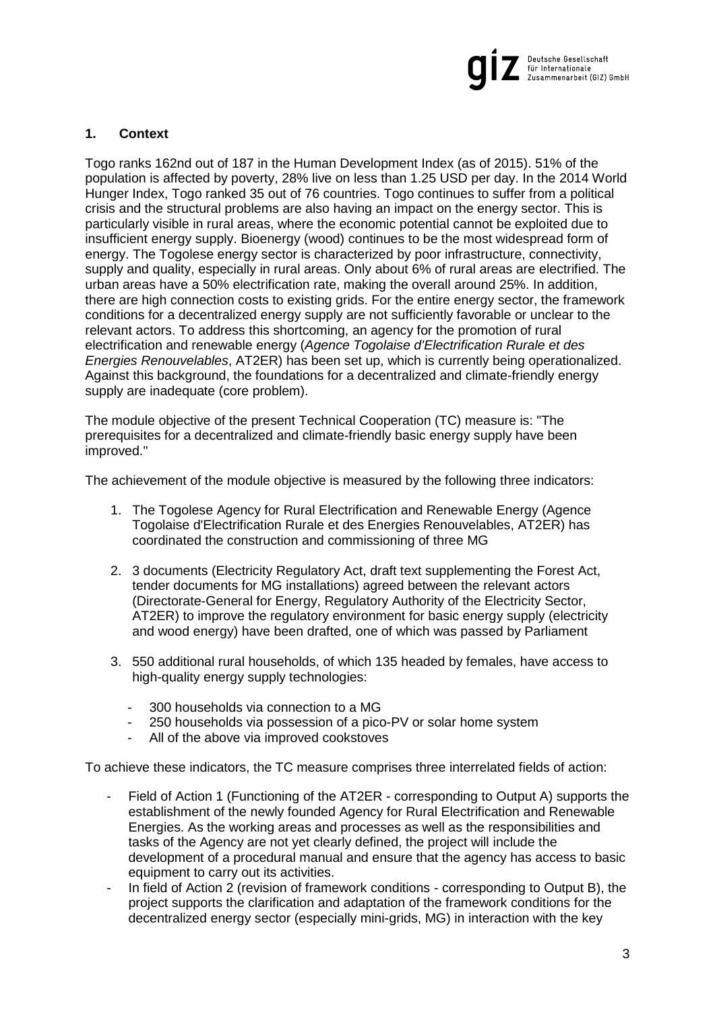

# <span id="page-2-0"></span>**1. Context**

Togo ranks 162nd out of 187 in the Human Development Index (as of 2015). 51% of the population is affected by poverty, 28% live on less than 1.25 USD per day. In the 2014 World Hunger Index, Togo ranked 35 out of 76 countries. Togo continues to suffer from a political crisis and the structural problems are also having an impact on the energy sector. This is particularly visible in rural areas, where the economic potential cannot be exploited due to insufficient energy supply. Bioenergy (wood) continues to be the most widespread form of energy. The Togolese energy sector is characterized by poor infrastructure, connectivity, supply and quality, especially in rural areas. Only about 6% of rural areas are electrified. The urban areas have a 50% electrification rate, making the overall around 25%. In addition, there are high connection costs to existing grids. For the entire energy sector, the framework conditions for a decentralized energy supply are not sufficiently favorable or unclear to the relevant actors. To address this shortcoming, an agency for the promotion of rural electrification and renewable energy (*Agence Togolaise d'Electrification Rurale et des Energies Renouvelables*, AT2ER) has been set up, which is currently being operationalized. Against this background, the foundations for a decentralized and climate-friendly energy supply are inadequate (core problem).

The module objective of the present Technical Cooperation (TC) measure is: "The prerequisites for a decentralized and climate-friendly basic energy supply have been improved."

The achievement of the module objective is measured by the following three indicators:

- 1. The Togolese Agency for Rural Electrification and Renewable Energy (Agence Togolaise d'Electrification Rurale et des Energies Renouvelables, AT2ER) has coordinated the construction and commissioning of three MG
- 2. 3 documents (Electricity Regulatory Act, draft text supplementing the Forest Act, tender documents for MG installations) agreed between the relevant actors (Directorate-General for Energy, Regulatory Authority of the Electricity Sector, AT2ER) to improve the regulatory environment for basic energy supply (electricity and wood energy) have been drafted, one of which was passed by Parliament
- 3. 550 additional rural households, of which 135 headed by females, have access to high-quality energy supply technologies:
	- 300 households via connection to a MG
	- 250 households via possession of a pico-PV or solar home system
	- All of the above via improved cookstoves

To achieve these indicators, the TC measure comprises three interrelated fields of action:

- Field of Action 1 (Functioning of the AT2ER corresponding to Output A) supports the establishment of the newly founded Agency for Rural Electrification and Renewable Energies. As the working areas and processes as well as the responsibilities and tasks of the Agency are not yet clearly defined, the project will include the development of a procedural manual and ensure that the agency has access to basic equipment to carry out its activities.
- In field of Action 2 (revision of framework conditions corresponding to Output B), the project supports the clarification and adaptation of the framework conditions for the decentralized energy sector (especially mini-grids, MG) in interaction with the key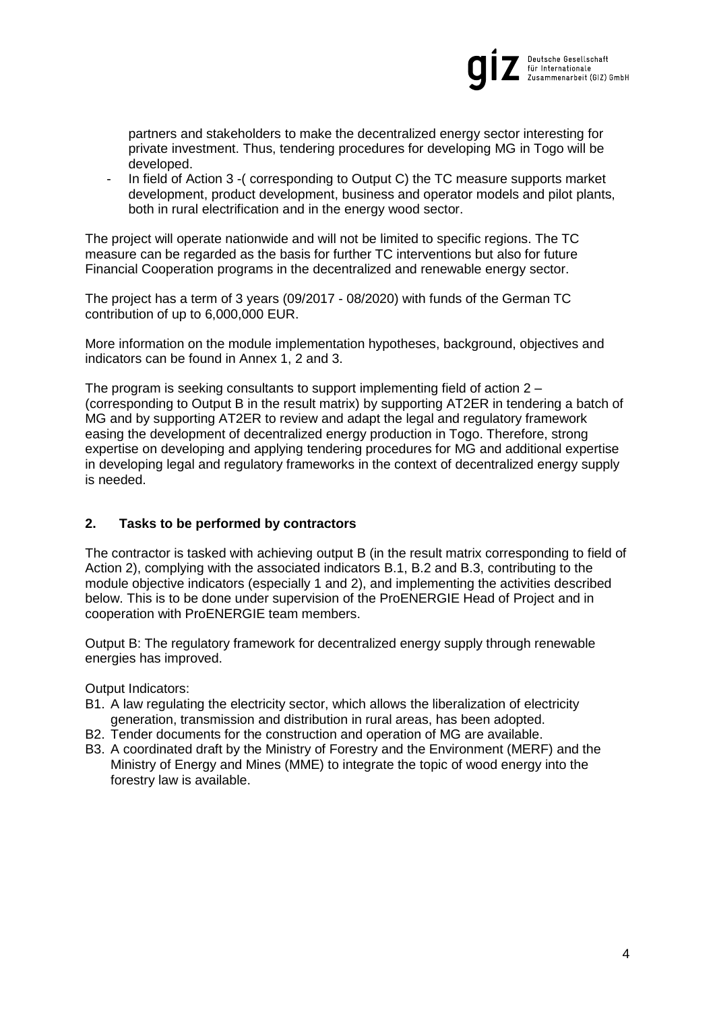

partners and stakeholders to make the decentralized energy sector interesting for private investment. Thus, tendering procedures for developing MG in Togo will be developed.

- In field of Action 3 -( corresponding to Output C) the TC measure supports market development, product development, business and operator models and pilot plants, both in rural electrification and in the energy wood sector.

The project will operate nationwide and will not be limited to specific regions. The TC measure can be regarded as the basis for further TC interventions but also for future Financial Cooperation programs in the decentralized and renewable energy sector.

The project has a term of 3 years (09/2017 - 08/2020) with funds of the German TC contribution of up to 6,000,000 EUR.

More information on the module implementation hypotheses, background, objectives and indicators can be found in Annex 1, 2 and 3.

The program is seeking consultants to support implementing field of action 2 – (corresponding to Output B in the result matrix) by supporting AT2ER in tendering a batch of MG and by supporting AT2ER to review and adapt the legal and regulatory framework easing the development of decentralized energy production in Togo. Therefore, strong expertise on developing and applying tendering procedures for MG and additional expertise in developing legal and regulatory frameworks in the context of decentralized energy supply is needed.

# <span id="page-3-0"></span>**2. Tasks to be performed by contractors**

The contractor is tasked with achieving output B (in the result matrix corresponding to field of Action 2), complying with the associated indicators B.1, B.2 and B.3, contributing to the module objective indicators (especially 1 and 2), and implementing the activities described below. This is to be done under supervision of the ProENERGIE Head of Project and in cooperation with ProENERGIE team members.

Output B: The regulatory framework for decentralized energy supply through renewable energies has improved.

Output Indicators:

- B1. A law regulating the electricity sector, which allows the liberalization of electricity generation, transmission and distribution in rural areas, has been adopted.
- B2. Tender documents for the construction and operation of MG are available.
- B3. A coordinated draft by the Ministry of Forestry and the Environment (MERF) and the Ministry of Energy and Mines (MME) to integrate the topic of wood energy into the forestry law is available.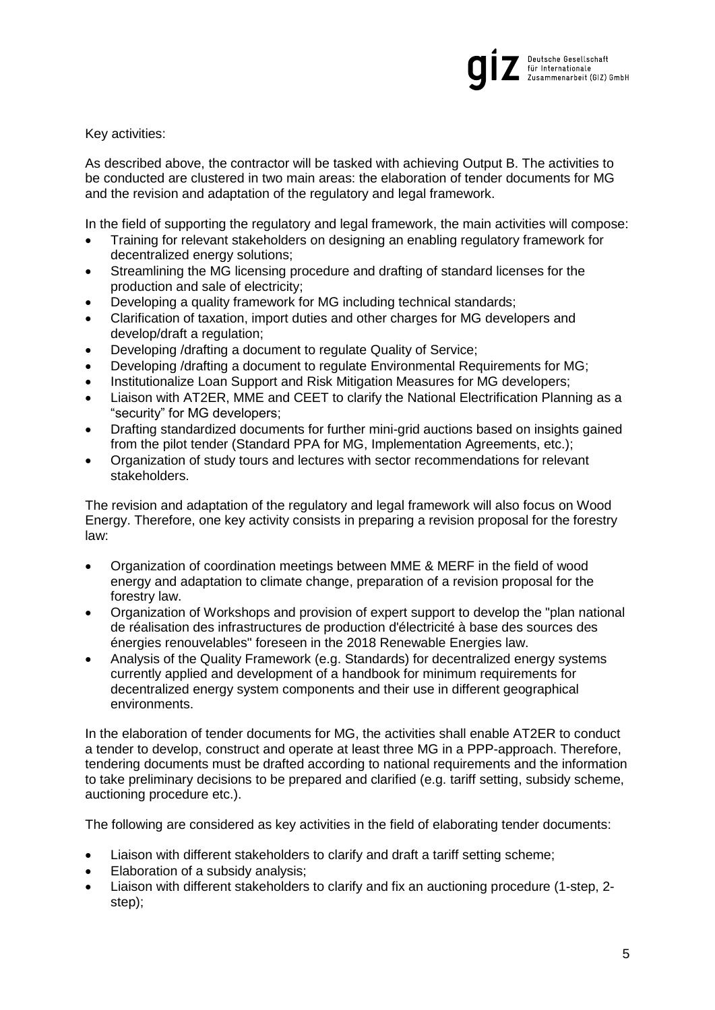

Key activities:

As described above, the contractor will be tasked with achieving Output B. The activities to be conducted are clustered in two main areas: the elaboration of tender documents for MG and the revision and adaptation of the regulatory and legal framework.

In the field of supporting the regulatory and legal framework, the main activities will compose:

- Training for relevant stakeholders on designing an enabling regulatory framework for decentralized energy solutions;
- Streamlining the MG licensing procedure and drafting of standard licenses for the production and sale of electricity;
- Developing a quality framework for MG including technical standards;
- Clarification of taxation, import duties and other charges for MG developers and develop/draft a regulation;
- Developing /drafting a document to regulate Quality of Service;
- Developing /drafting a document to regulate Environmental Requirements for MG;
- Institutionalize Loan Support and Risk Mitigation Measures for MG developers;
- Liaison with AT2ER, MME and CEET to clarify the National Electrification Planning as a "security" for MG developers;
- Drafting standardized documents for further mini-grid auctions based on insights gained from the pilot tender (Standard PPA for MG, Implementation Agreements, etc.);
- Organization of study tours and lectures with sector recommendations for relevant stakeholders.

The revision and adaptation of the regulatory and legal framework will also focus on Wood Energy. Therefore, one key activity consists in preparing a revision proposal for the forestry law:

- Organization of coordination meetings between MME & MERF in the field of wood energy and adaptation to climate change, preparation of a revision proposal for the forestry law.
- Organization of Workshops and provision of expert support to develop the "plan national de réalisation des infrastructures de production d'électricité à base des sources des énergies renouvelables" foreseen in the 2018 Renewable Energies law.
- Analysis of the Quality Framework (e.g. Standards) for decentralized energy systems currently applied and development of a handbook for minimum requirements for decentralized energy system components and their use in different geographical environments.

In the elaboration of tender documents for MG, the activities shall enable AT2ER to conduct a tender to develop, construct and operate at least three MG in a PPP-approach. Therefore, tendering documents must be drafted according to national requirements and the information to take preliminary decisions to be prepared and clarified (e.g. tariff setting, subsidy scheme, auctioning procedure etc.).

The following are considered as key activities in the field of elaborating tender documents:

- Liaison with different stakeholders to clarify and draft a tariff setting scheme;
- Elaboration of a subsidy analysis:
- Liaison with different stakeholders to clarify and fix an auctioning procedure (1-step, 2 step);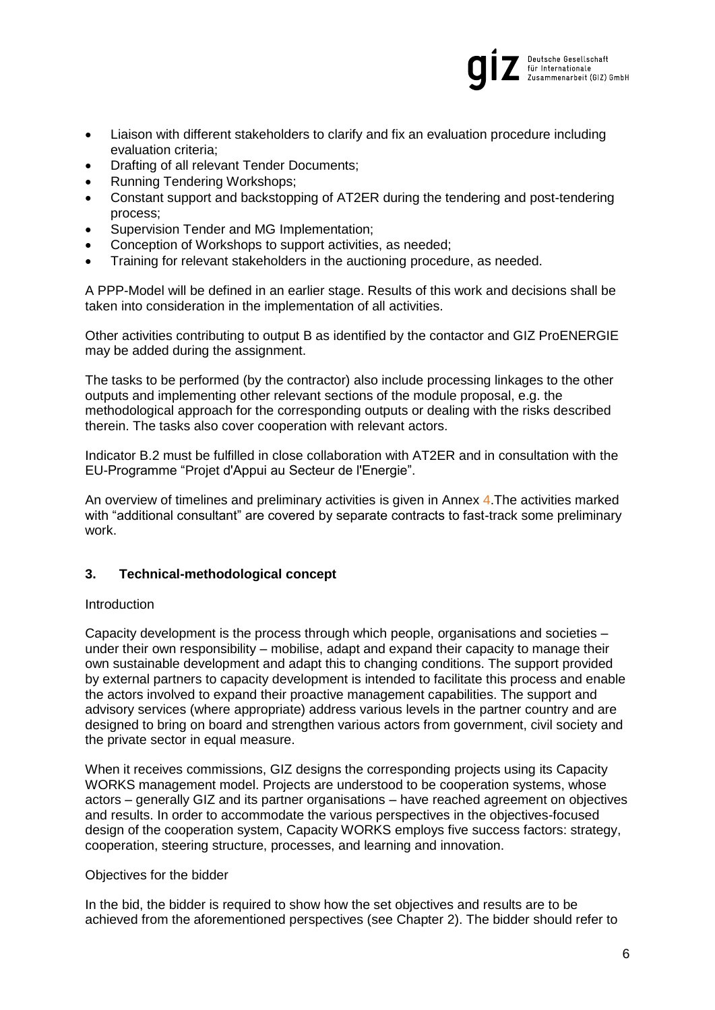

- Liaison with different stakeholders to clarify and fix an evaluation procedure including evaluation criteria;
- Drafting of all relevant Tender Documents:
- Running Tendering Workshops:
- Constant support and backstopping of AT2ER during the tendering and post-tendering process;
- Supervision Tender and MG Implementation;
- Conception of Workshops to support activities, as needed;
- Training for relevant stakeholders in the auctioning procedure, as needed.

A PPP-Model will be defined in an earlier stage. Results of this work and decisions shall be taken into consideration in the implementation of all activities.

Other activities contributing to output B as identified by the contactor and GIZ ProENERGIE may be added during the assignment.

The tasks to be performed (by the contractor) also include processing linkages to the other outputs and implementing other relevant sections of the module proposal, e.g. the methodological approach for the corresponding outputs or dealing with the risks described therein. The tasks also cover cooperation with relevant actors.

Indicator B.2 must be fulfilled in close collaboration with AT2ER and in consultation with the EU-Programme "Projet d'Appui au Secteur de l'Energie".

An overview of timelines and preliminary activities is given in Annex 4.The activities marked with "additional consultant" are covered by separate contracts to fast-track some preliminary work.

# <span id="page-5-0"></span>**3. Technical-methodological concept**

# Introduction

Capacity development is the process through which people, organisations and societies – under their own responsibility – mobilise, adapt and expand their capacity to manage their own sustainable development and adapt this to changing conditions. The support provided by external partners to capacity development is intended to facilitate this process and enable the actors involved to expand their proactive management capabilities. The support and advisory services (where appropriate) address various levels in the partner country and are designed to bring on board and strengthen various actors from government, civil society and the private sector in equal measure.

When it receives commissions, GIZ designs the corresponding projects using its Capacity WORKS management model. Projects are understood to be cooperation systems, whose actors – generally GIZ and its partner organisations – have reached agreement on objectives and results. In order to accommodate the various perspectives in the objectives-focused design of the cooperation system, Capacity WORKS employs five success factors: strategy, cooperation, steering structure, processes, and learning and innovation.

### Objectives for the bidder

In the bid, the bidder is required to show how the set objectives and results are to be achieved from the aforementioned perspectives (see Chapter [2\)](#page-3-0). The bidder should refer to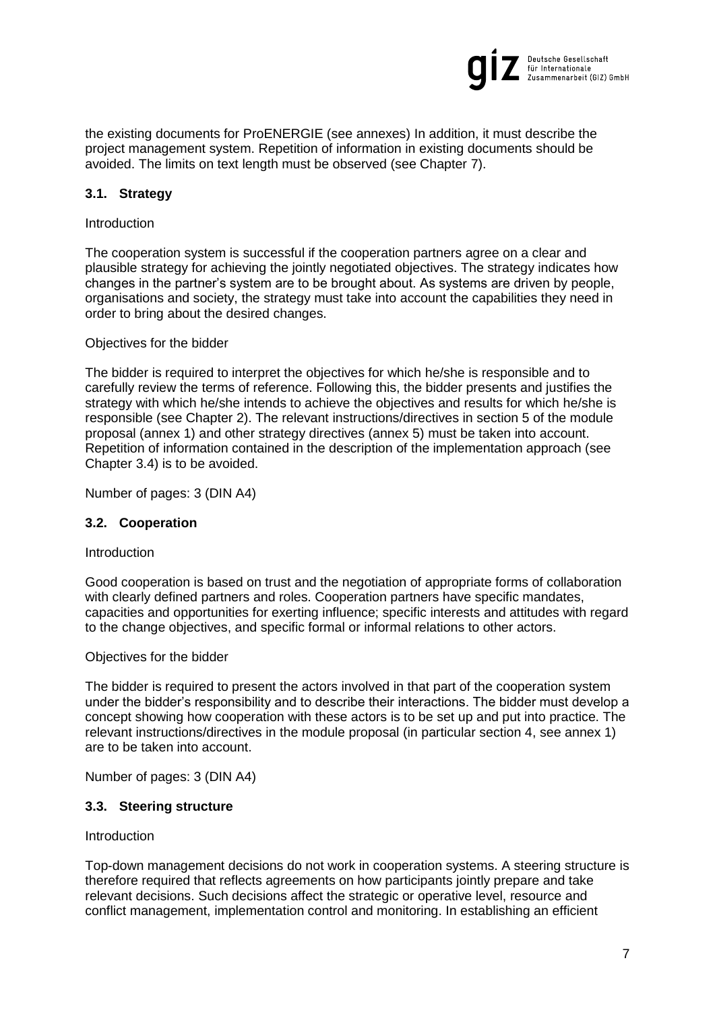

the existing documents for ProENERGIE (see annexes) In addition, it must describe the project management system. Repetition of information in existing documents should be avoided. The limits on text length must be observed (see Chapter [7\)](#page-13-3).

# <span id="page-6-0"></span>**3.1. Strategy**

## Introduction

The cooperation system is successful if the cooperation partners agree on a clear and plausible strategy for achieving the jointly negotiated objectives. The strategy indicates how changes in the partner's system are to be brought about. As systems are driven by people, organisations and society, the strategy must take into account the capabilities they need in order to bring about the desired changes.

## Objectives for the bidder

The bidder is required to interpret the objectives for which he/she is responsible and to carefully review the terms of reference. Following this, the bidder presents and justifies the strategy with which he/she intends to achieve the objectives and results for which he/she is responsible (see Chapter 2). The relevant instructions/directives in section 5 of the module proposal (annex 1) and other strategy directives (annex 5) must be taken into account. Repetition of information contained in the description of the implementation approach (see Chapter 3.4) is to be avoided.

Number of pages: 3 (DIN A4)

# <span id="page-6-1"></span>**3.2. Cooperation**

### Introduction

Good cooperation is based on trust and the negotiation of appropriate forms of collaboration with clearly defined partners and roles. Cooperation partners have specific mandates, capacities and opportunities for exerting influence; specific interests and attitudes with regard to the change objectives, and specific formal or informal relations to other actors.

### Objectives for the bidder

The bidder is required to present the actors involved in that part of the cooperation system under the bidder's responsibility and to describe their interactions. The bidder must develop a concept showing how cooperation with these actors is to be set up and put into practice. The relevant instructions/directives in the module proposal (in particular section 4, see annex 1) are to be taken into account.

Number of pages: 3 (DIN A4)

# <span id="page-6-2"></span>**3.3. Steering structure**

### **Introduction**

Top-down management decisions do not work in cooperation systems. A steering structure is therefore required that reflects agreements on how participants jointly prepare and take relevant decisions. Such decisions affect the strategic or operative level, resource and conflict management, implementation control and monitoring. In establishing an efficient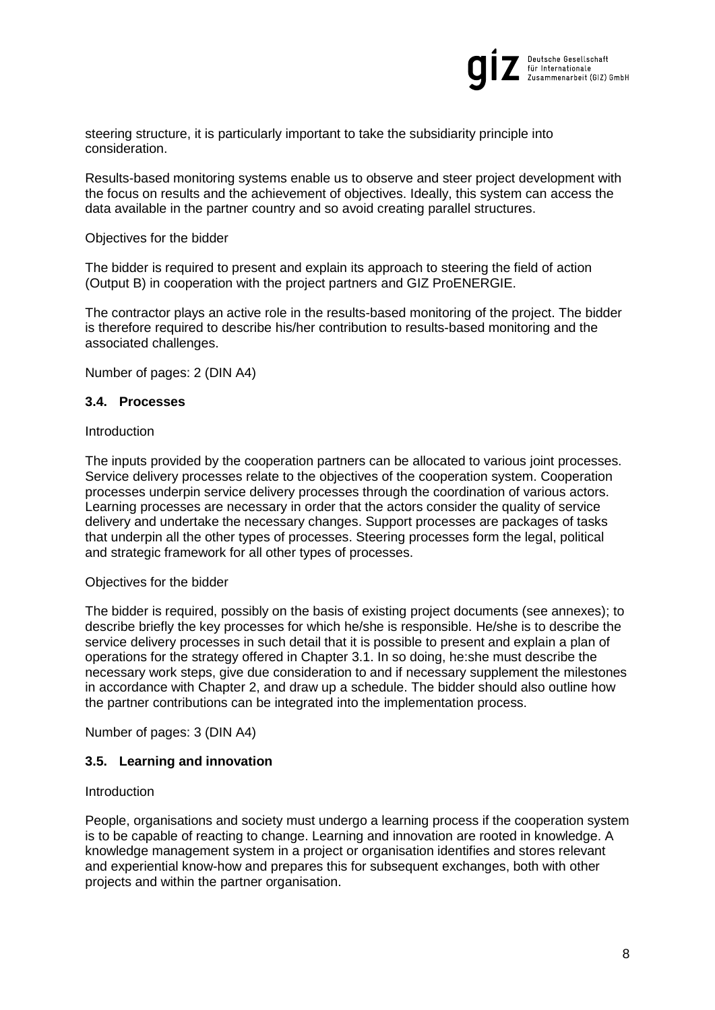

steering structure, it is particularly important to take the subsidiarity principle into consideration.

Results-based monitoring systems enable us to observe and steer project development with the focus on results and the achievement of objectives. Ideally, this system can access the data available in the partner country and so avoid creating parallel structures.

### Objectives for the bidder

The bidder is required to present and explain its approach to steering the field of action (Output B) in cooperation with the project partners and GIZ ProENERGIE.

The contractor plays an active role in the results-based monitoring of the project. The bidder is therefore required to describe his/her contribution to results-based monitoring and the associated challenges.

Number of pages: 2 (DIN A4)

#### <span id="page-7-0"></span>**3.4. Processes**

#### Introduction

The inputs provided by the cooperation partners can be allocated to various joint processes. Service delivery processes relate to the objectives of the cooperation system. Cooperation processes underpin service delivery processes through the coordination of various actors. Learning processes are necessary in order that the actors consider the quality of service delivery and undertake the necessary changes. Support processes are packages of tasks that underpin all the other types of processes. Steering processes form the legal, political and strategic framework for all other types of processes.

#### Objectives for the bidder

The bidder is required, possibly on the basis of existing project documents (see annexes); to describe briefly the key processes for which he/she is responsible. He/she is to describe the service delivery processes in such detail that it is possible to present and explain a plan of operations for the strategy offered in Chapter [3.1.](#page-6-0) In so doing, he:she must describe the necessary work steps, give due consideration to and if necessary supplement the milestones in accordance with Chapter [2,](#page-3-0) and draw up a schedule. The bidder should also outline how the partner contributions can be integrated into the implementation process.

Number of pages: 3 (DIN A4)

## <span id="page-7-1"></span>**3.5. Learning and innovation**

#### Introduction

People, organisations and society must undergo a learning process if the cooperation system is to be capable of reacting to change. Learning and innovation are rooted in knowledge. A knowledge management system in a project or organisation identifies and stores relevant and experiential know-how and prepares this for subsequent exchanges, both with other projects and within the partner organisation.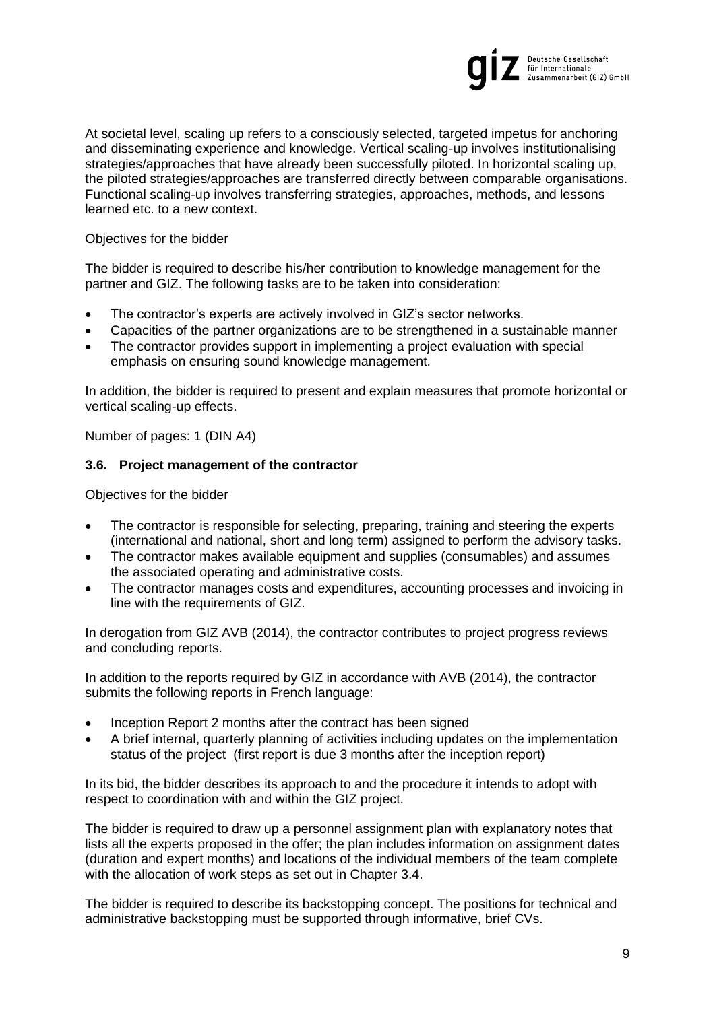

At societal level, scaling up refers to a consciously selected, targeted impetus for anchoring and disseminating experience and knowledge. Vertical scaling-up involves institutionalising strategies/approaches that have already been successfully piloted. In horizontal scaling up, the piloted strategies/approaches are transferred directly between comparable organisations. Functional scaling-up involves transferring strategies, approaches, methods, and lessons learned etc. to a new context.

Objectives for the bidder

The bidder is required to describe his/her contribution to knowledge management for the partner and GIZ. The following tasks are to be taken into consideration:

- The contractor's experts are actively involved in GIZ's sector networks.
- Capacities of the partner organizations are to be strengthened in a sustainable manner
- The contractor provides support in implementing a project evaluation with special emphasis on ensuring sound knowledge management.

In addition, the bidder is required to present and explain measures that promote horizontal or vertical scaling-up effects.

Number of pages: 1 (DIN A4)

## <span id="page-8-0"></span>**3.6. Project management of the contractor**

Objectives for the bidder

- The contractor is responsible for selecting, preparing, training and steering the experts (international and national, short and long term) assigned to perform the advisory tasks.
- The contractor makes available equipment and supplies (consumables) and assumes the associated operating and administrative costs.
- The contractor manages costs and expenditures, accounting processes and invoicing in line with the requirements of GIZ.

In derogation from GIZ AVB (2014), the contractor contributes to project progress reviews and concluding reports.

In addition to the reports required by GIZ in accordance with AVB (2014), the contractor submits the following reports in French language:

- Inception Report 2 months after the contract has been signed
- A brief internal, quarterly planning of activities including updates on the implementation status of the project (first report is due 3 months after the inception report)

In its bid, the bidder describes its approach to and the procedure it intends to adopt with respect to coordination with and within the GIZ project.

The bidder is required to draw up a personnel assignment plan with explanatory notes that lists all the experts proposed in the offer; the plan includes information on assignment dates (duration and expert months) and locations of the individual members of the team complete with the allocation of work steps as set out in Chapter [3.4.](#page-7-0)

The bidder is required to describe its backstopping concept. The positions for technical and administrative backstopping must be supported through informative, brief CVs.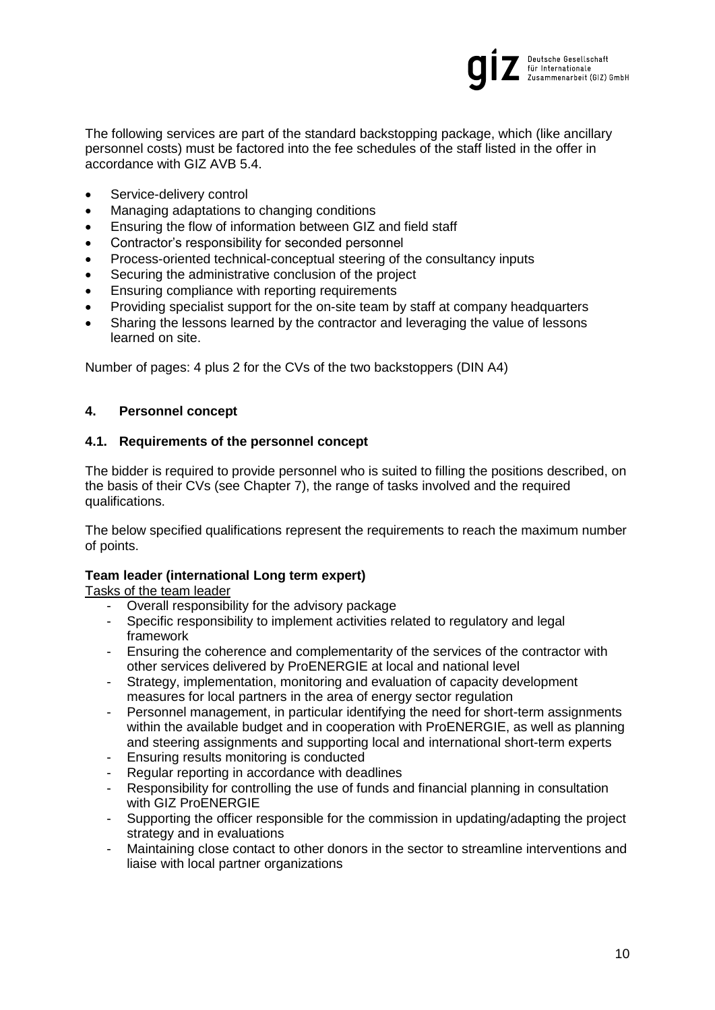

The following services are part of the standard backstopping package, which (like ancillary personnel costs) must be factored into the fee schedules of the staff listed in the offer in accordance with GIZ AVB 5.4.

- Service-delivery control
- Managing adaptations to changing conditions
- Ensuring the flow of information between GIZ and field staff
- Contractor's responsibility for seconded personnel
- Process-oriented technical-conceptual steering of the consultancy inputs
- Securing the administrative conclusion of the project
- Ensuring compliance with reporting requirements
- Providing specialist support for the on-site team by staff at company headquarters
- Sharing the lessons learned by the contractor and leveraging the value of lessons learned on site.

Number of pages: 4 plus 2 for the CVs of the two backstoppers (DIN A4)

# <span id="page-9-0"></span>**4. Personnel concept**

## <span id="page-9-1"></span>**4.1. Requirements of the personnel concept**

The bidder is required to provide personnel who is suited to filling the positions described, on the basis of their CVs (see Chapter 7), the range of tasks involved and the required qualifications.

The below specified qualifications represent the requirements to reach the maximum number of points.

# **Team leader (international Long term expert)**

Tasks of the team leader

- Overall responsibility for the advisory package
- Specific responsibility to implement activities related to regulatory and legal framework
- Ensuring the coherence and complementarity of the services of the contractor with other services delivered by ProENERGIE at local and national level
- Strategy, implementation, monitoring and evaluation of capacity development measures for local partners in the area of energy sector regulation
- Personnel management, in particular identifying the need for short-term assignments within the available budget and in cooperation with ProENERGIE, as well as planning and steering assignments and supporting local and international short-term experts
- Ensuring results monitoring is conducted
- Regular reporting in accordance with deadlines
- Responsibility for controlling the use of funds and financial planning in consultation with GIZ ProENERGIE
- Supporting the officer responsible for the commission in updating/adapting the project strategy and in evaluations
- Maintaining close contact to other donors in the sector to streamline interventions and liaise with local partner organizations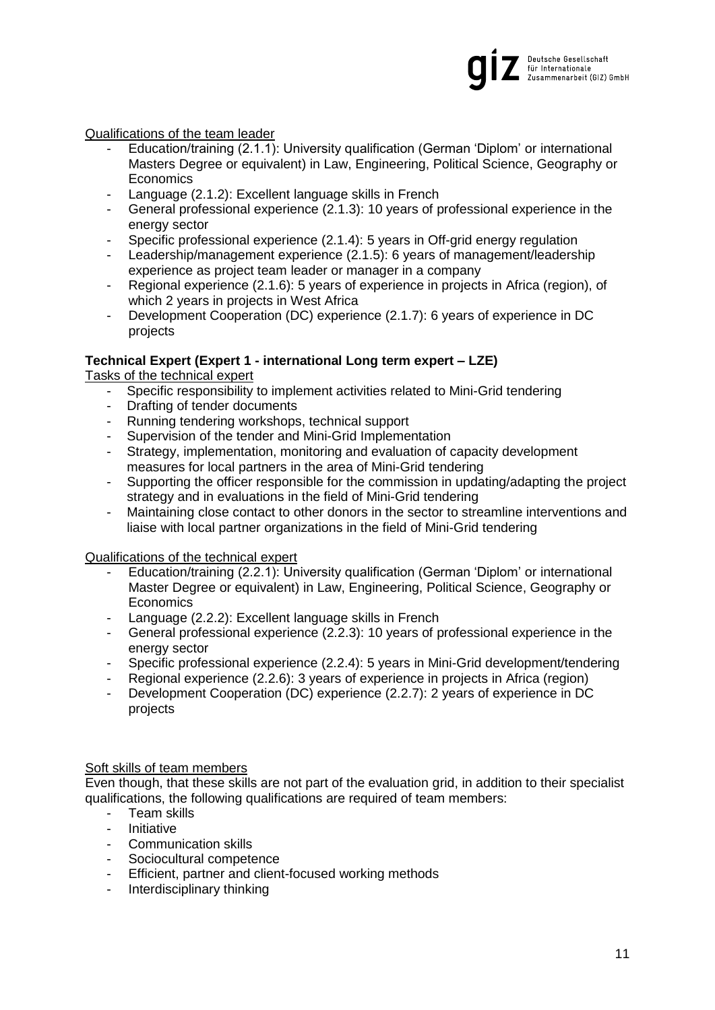

## Qualifications of the team leader

- Education/training (2.1.1): University qualification (German 'Diplom' or international Masters Degree or equivalent) in Law, Engineering, Political Science, Geography or Economics
- Language (2.1.2): Excellent language skills in French
- General professional experience (2.1.3): 10 years of professional experience in the energy sector
- Specific professional experience (2.1.4): 5 years in Off-grid energy regulation
- Leadership/management experience (2.1.5): 6 years of management/leadership experience as project team leader or manager in a company
- Regional experience (2.1.6): 5 years of experience in projects in Africa (region), of which 2 years in projects in West Africa
- Development Cooperation (DC) experience (2.1.7): 6 years of experience in DC projects

# **Technical Expert (Expert 1 - international Long term expert – LZE)**

Tasks of the technical expert

- Specific responsibility to implement activities related to Mini-Grid tendering
- Drafting of tender documents
- Running tendering workshops, technical support
- Supervision of the tender and Mini-Grid Implementation
- Strategy, implementation, monitoring and evaluation of capacity development measures for local partners in the area of Mini-Grid tendering
- Supporting the officer responsible for the commission in updating/adapting the project strategy and in evaluations in the field of Mini-Grid tendering
- Maintaining close contact to other donors in the sector to streamline interventions and liaise with local partner organizations in the field of Mini-Grid tendering

# Qualifications of the technical expert

- Education/training (2.2.1): University qualification (German 'Diplom' or international Master Degree or equivalent) in Law, Engineering, Political Science, Geography or **Economics**
- Language (2.2.2): Excellent language skills in French
- General professional experience (2.2.3): 10 years of professional experience in the energy sector
- Specific professional experience (2.2.4): 5 years in Mini-Grid development/tendering
- Regional experience (2.2.6): 3 years of experience in projects in Africa (region)
- Development Cooperation (DC) experience (2.2.7): 2 years of experience in DC projects

### Soft skills of team members

Even though, that these skills are not part of the evaluation grid, in addition to their specialist qualifications, the following qualifications are required of team members:

- Team skills
- **Initiative**
- Communication skills
- Sociocultural competence
- Efficient, partner and client-focused working methods
- Interdisciplinary thinking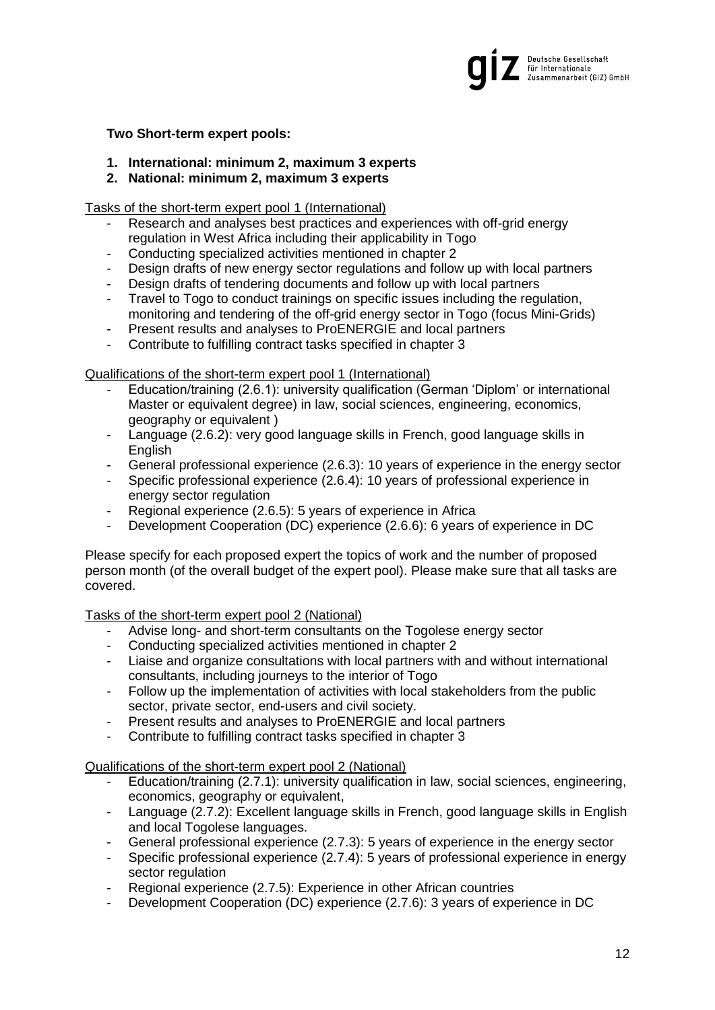

## **Two Short-term expert pools:**

- **1. International: minimum 2, maximum 3 experts**
- **2. National: minimum 2, maximum 3 experts**

Tasks of the short-term expert pool 1 (International)

- Research and analyses best practices and experiences with off-grid energy regulation in West Africa including their applicability in Togo
- Conducting specialized activities mentioned in chapter 2
- Design drafts of new energy sector regulations and follow up with local partners
- Design drafts of tendering documents and follow up with local partners
- Travel to Togo to conduct trainings on specific issues including the regulation, monitoring and tendering of the off-grid energy sector in Togo (focus Mini-Grids)
- Present results and analyses to ProENERGIE and local partners
- Contribute to fulfilling contract tasks specified in chapter 3

## Qualifications of the short-term expert pool 1 (International)

- Education/training (2.6.1): university qualification (German 'Diplom' or international Master or equivalent degree) in law, social sciences, engineering, economics, geography or equivalent )
- Language (2.6.2): very good language skills in French, good language skills in **English**
- General professional experience (2.6.3): 10 years of experience in the energy sector
- Specific professional experience (2.6.4): 10 years of professional experience in energy sector regulation
- Regional experience (2.6.5): 5 years of experience in Africa
- Development Cooperation (DC) experience (2.6.6): 6 years of experience in DC

Please specify for each proposed expert the topics of work and the number of proposed person month (of the overall budget of the expert pool). Please make sure that all tasks are covered.

Tasks of the short-term expert pool 2 (National)

- Advise long- and short-term consultants on the Togolese energy sector
- Conducting specialized activities mentioned in chapter 2
- Liaise and organize consultations with local partners with and without international consultants, including journeys to the interior of Togo
- Follow up the implementation of activities with local stakeholders from the public sector, private sector, end-users and civil society.
- Present results and analyses to ProENERGIE and local partners
- Contribute to fulfilling contract tasks specified in chapter 3

### Qualifications of the short-term expert pool 2 (National)

- Education/training (2.7.1): university qualification in law, social sciences, engineering, economics, geography or equivalent,
- Language (2.7.2): Excellent language skills in French, good language skills in English and local Togolese languages.
- General professional experience (2.7.3): 5 years of experience in the energy sector
- Specific professional experience (2.7.4): 5 years of professional experience in energy sector regulation
- Regional experience (2.7.5): Experience in other African countries
- Development Cooperation (DC) experience (2.7.6): 3 years of experience in DC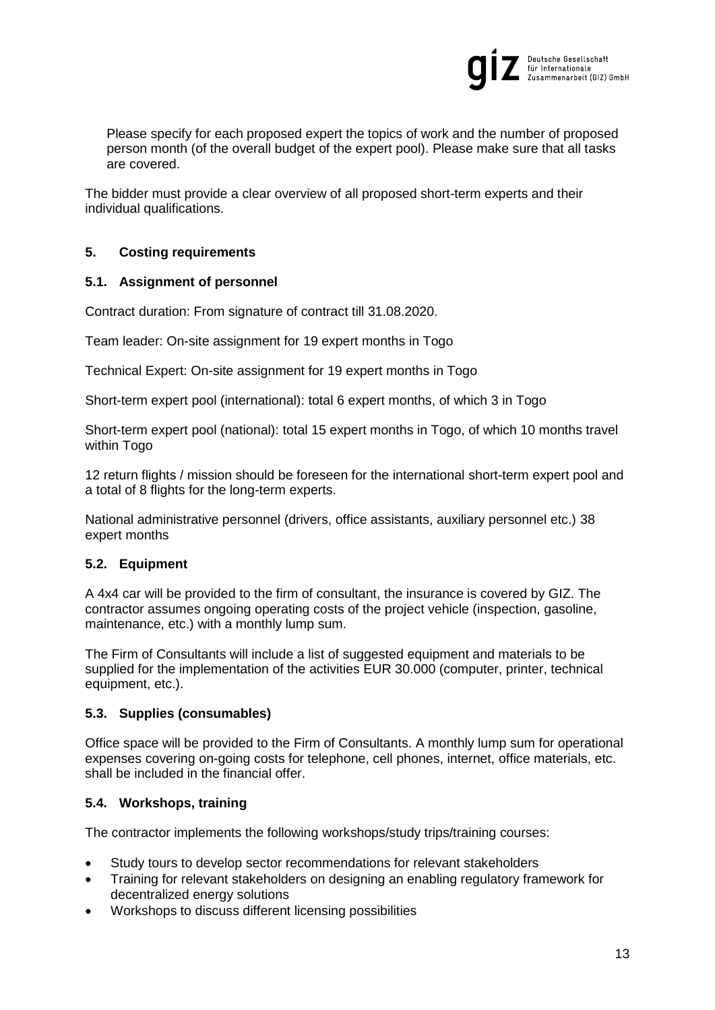

Please specify for each proposed expert the topics of work and the number of proposed person month (of the overall budget of the expert pool). Please make sure that all tasks are covered.

The bidder must provide a clear overview of all proposed short-term experts and their individual qualifications.

# <span id="page-12-0"></span>**5. Costing requirements**

# <span id="page-12-1"></span>**5.1. Assignment of personnel**

Contract duration: From signature of contract till 31.08.2020.

Team leader: On-site assignment for 19 expert months in Togo

Technical Expert: On-site assignment for 19 expert months in Togo

Short-term expert pool (international): total 6 expert months, of which 3 in Togo

Short-term expert pool (national): total 15 expert months in Togo, of which 10 months travel within Togo

12 return flights / mission should be foreseen for the international short-term expert pool and a total of 8 flights for the long-term experts.

National administrative personnel (drivers, office assistants, auxiliary personnel etc.) 38 expert months

# <span id="page-12-2"></span>**5.2. Equipment**

A 4x4 car will be provided to the firm of consultant, the insurance is covered by GIZ. The contractor assumes ongoing operating costs of the project vehicle (inspection, gasoline, maintenance, etc.) with a monthly lump sum.

The Firm of Consultants will include a list of suggested equipment and materials to be supplied for the implementation of the activities EUR 30.000 (computer, printer, technical equipment, etc.).

# <span id="page-12-3"></span>**5.3. Supplies (consumables)**

Office space will be provided to the Firm of Consultants. A monthly lump sum for operational expenses covering on-going costs for telephone, cell phones, internet, office materials, etc. shall be included in the financial offer.

# <span id="page-12-4"></span>**5.4. Workshops, training**

The contractor implements the following workshops/study trips/training courses:

- Study tours to develop sector recommendations for relevant stakeholders
- Training for relevant stakeholders on designing an enabling regulatory framework for decentralized energy solutions
- Workshops to discuss different licensing possibilities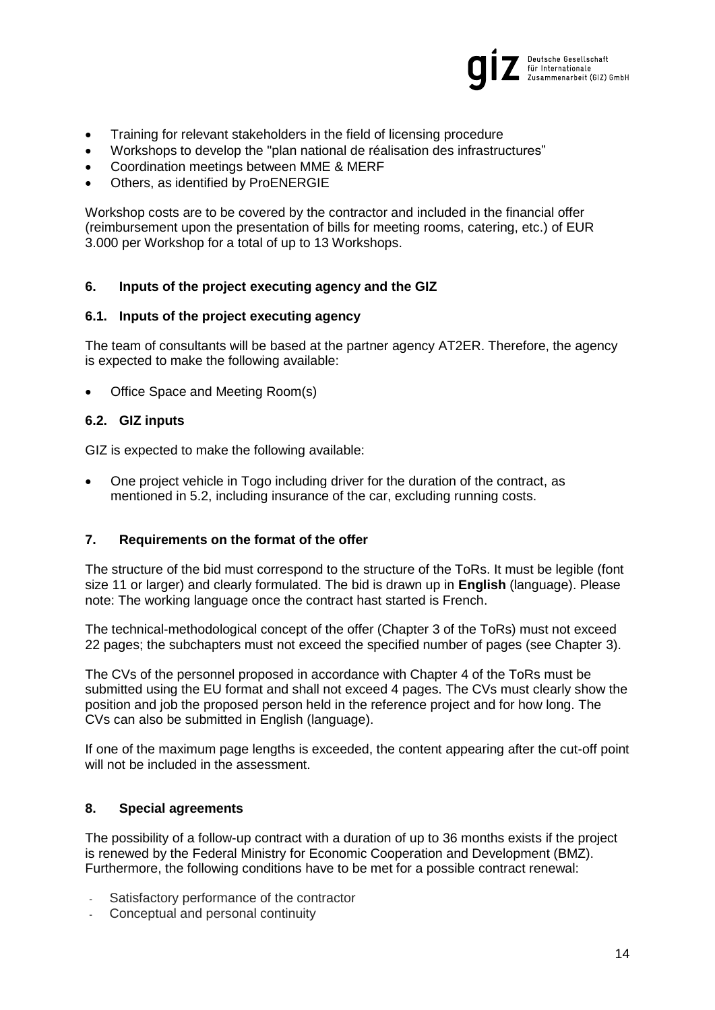

- Training for relevant stakeholders in the field of licensing procedure
- Workshops to develop the "plan national de réalisation des infrastructures"
- Coordination meetings between MME & MERF
- Others, as identified by ProENERGIE

Workshop costs are to be covered by the contractor and included in the financial offer (reimbursement upon the presentation of bills for meeting rooms, catering, etc.) of EUR 3.000 per Workshop for a total of up to 13 Workshops.

# <span id="page-13-0"></span>**6. Inputs of the project executing agency and the GIZ**

### <span id="page-13-1"></span>**6.1. Inputs of the project executing agency**

The team of consultants will be based at the partner agency AT2ER. Therefore, the agency is expected to make the following available:

Office Space and Meeting Room(s)

## <span id="page-13-2"></span>**6.2. GIZ inputs**

GIZ is expected to make the following available:

 One project vehicle in Togo including driver for the duration of the contract, as mentioned in 5.2, including insurance of the car, excluding running costs.

# <span id="page-13-3"></span>**7. Requirements on the format of the offer**

The structure of the bid must correspond to the structure of the ToRs. It must be legible (font size 11 or larger) and clearly formulated. The bid is drawn up in **English** (language). Please note: The working language once the contract hast started is French.

The technical-methodological concept of the offer (Chapter 3 of the ToRs) must not exceed 22 pages; the subchapters must not exceed the specified number of pages (see Chapter [3\)](#page-5-0).

The CVs of the personnel proposed in accordance with Chapter [4](#page-9-0) of the ToRs must be submitted using the EU format and shall not exceed 4 pages. The CVs must clearly show the position and job the proposed person held in the reference project and for how long. The CVs can also be submitted in English (language).

If one of the maximum page lengths is exceeded, the content appearing after the cut-off point will not be included in the assessment.

### <span id="page-13-4"></span>**8. Special agreements**

The possibility of a follow-up contract with a duration of up to 36 months exists if the project is renewed by the Federal Ministry for Economic Cooperation and Development (BMZ). Furthermore, the following conditions have to be met for a possible contract renewal:

- Satisfactory performance of the contractor
- Conceptual and personal continuity